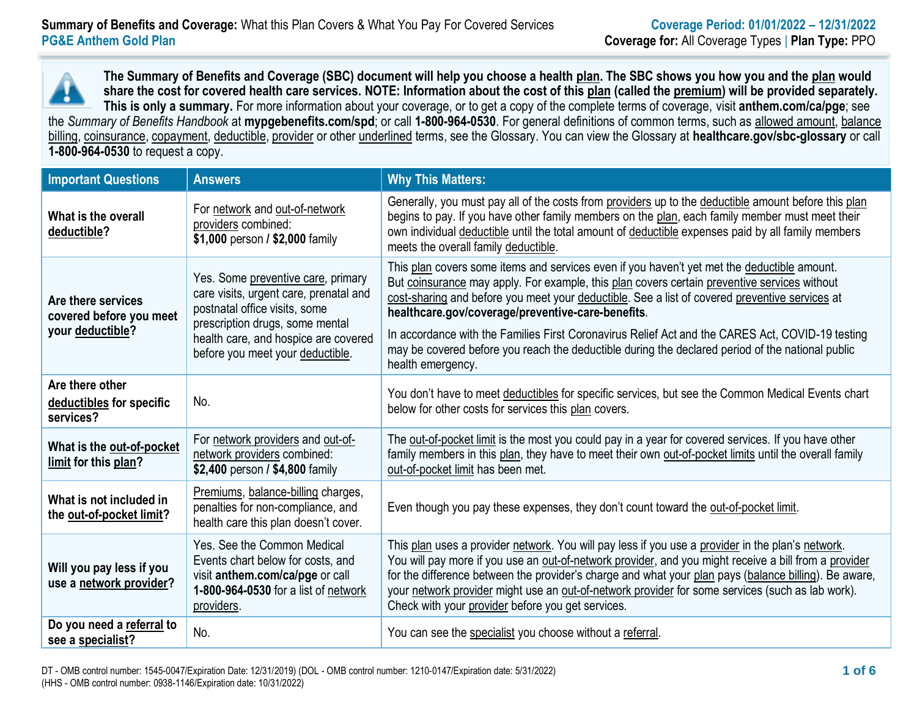**The Summary of Benefits and Coverage (SBC) document will help you choose a health plan. The SBC shows you how you and the plan would share the cost for covered health care services. NOTE: Information about the cost of this plan (called the premium) will be provided separately. This is only a summary.** For more information about your coverage, or to get a copy of the complete terms of coverage, visit **anthem.com/ca/pge**; see the *Summary of Benefits Handbook* at **mypgebenefits.com/spd**; or call **1-800-964-0530**. For general definitions of common terms, such as allowed amount, balance billing, coinsurance, copayment, deductible, provider or other underlined terms, see the Glossary. You can view the Glossary at **[healthcare.gov/sbc-glossary](https://www.healthcare.gov/sbc-glossary/)** or call **1-800-964-0530** to request a copy.

| <b>Important Questions</b>                                        | <b>Answers</b>                                                                                                                                                                                                               | <b>Why This Matters:</b>                                                                                                                                                                                                                                                                                                                                                                                                                                                                                                                                                        |
|-------------------------------------------------------------------|------------------------------------------------------------------------------------------------------------------------------------------------------------------------------------------------------------------------------|---------------------------------------------------------------------------------------------------------------------------------------------------------------------------------------------------------------------------------------------------------------------------------------------------------------------------------------------------------------------------------------------------------------------------------------------------------------------------------------------------------------------------------------------------------------------------------|
| What is the overall<br>deductible?                                | For network and out-of-network<br>providers combined:<br>\$1,000 person / \$2,000 family                                                                                                                                     | Generally, you must pay all of the costs from providers up to the deductible amount before this plan<br>begins to pay. If you have other family members on the plan, each family member must meet their<br>own individual deductible until the total amount of deductible expenses paid by all family members<br>meets the overall family deductible.                                                                                                                                                                                                                           |
| Are there services<br>covered before you meet<br>your deductible? | Yes. Some preventive care, primary<br>care visits, urgent care, prenatal and<br>postnatal office visits, some<br>prescription drugs, some mental<br>health care, and hospice are covered<br>before you meet your deductible. | This plan covers some items and services even if you haven't yet met the deductible amount.<br>But coinsurance may apply. For example, this plan covers certain preventive services without<br>cost-sharing and before you meet your deductible. See a list of covered preventive services at<br>healthcare.gov/coverage/preventive-care-benefits.<br>In accordance with the Families First Coronavirus Relief Act and the CARES Act, COVID-19 testing<br>may be covered before you reach the deductible during the declared period of the national public<br>health emergency. |
| Are there other<br>deductibles for specific<br>services?          | No.                                                                                                                                                                                                                          | You don't have to meet deductibles for specific services, but see the Common Medical Events chart<br>below for other costs for services this plan covers.                                                                                                                                                                                                                                                                                                                                                                                                                       |
| What is the out-of-pocket<br>limit for this plan?                 | For network providers and out-of-<br>network providers combined:<br>\$2,400 person / \$4,800 family                                                                                                                          | The out-of-pocket limit is the most you could pay in a year for covered services. If you have other<br>family members in this plan, they have to meet their own out-of-pocket limits until the overall family<br>out-of-pocket limit has been met.                                                                                                                                                                                                                                                                                                                              |
| What is not included in<br>the out-of-pocket limit?               | Premiums, balance-billing charges,<br>penalties for non-compliance, and<br>health care this plan doesn't cover.                                                                                                              | Even though you pay these expenses, they don't count toward the out-of-pocket limit.                                                                                                                                                                                                                                                                                                                                                                                                                                                                                            |
| Will you pay less if you<br>use a network provider?               | Yes. See the Common Medical<br>Events chart below for costs, and<br>visit anthem.com/ca/pge or call<br>1-800-964-0530 for a list of network<br>providers.                                                                    | This plan uses a provider network. You will pay less if you use a provider in the plan's network.<br>You will pay more if you use an out-of-network provider, and you might receive a bill from a provider<br>for the difference between the provider's charge and what your plan pays (balance billing). Be aware,<br>your network provider might use an out-of-network provider for some services (such as lab work).<br>Check with your provider before you get services.                                                                                                    |
| Do you need a referral to<br>see a specialist?                    | No.                                                                                                                                                                                                                          | You can see the specialist you choose without a referral.                                                                                                                                                                                                                                                                                                                                                                                                                                                                                                                       |

DT - OMB control number: 1545-0047/Expiration Date: 12/31/2019) (DOL - OMB control number: 1210-0147/Expiration date: 5/31/2022) (HHS - OMB control number: 0938-1146/Expiration date: 10/31/2022)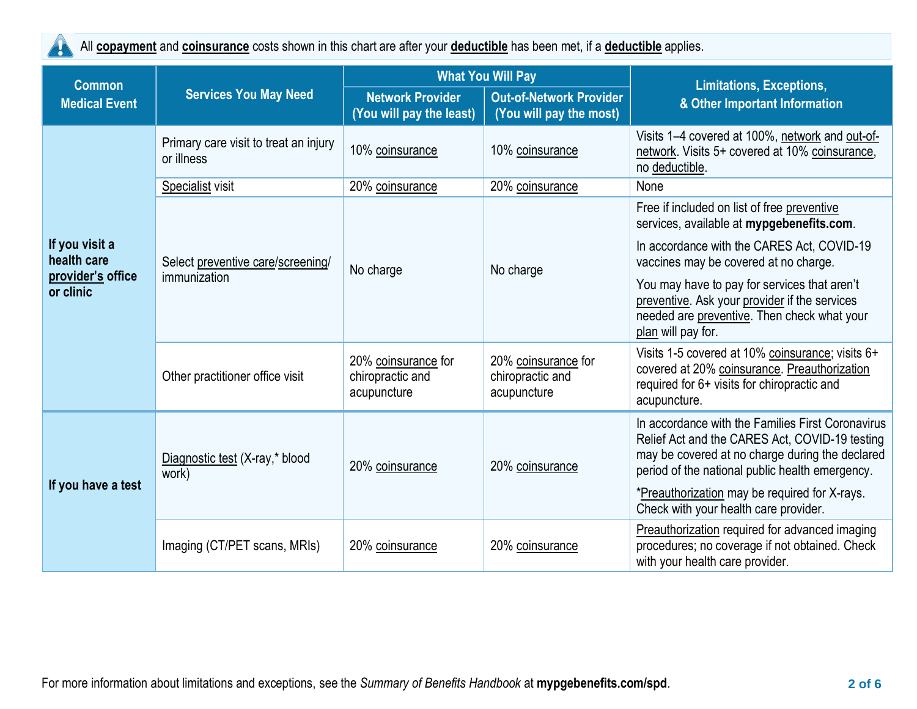$\blacktriangle$ 

All **copayment** and **coinsurance** costs shown in this chart are after your **deductible** has been met, if a **deductible** applies.

| <b>Common</b><br><b>Medical Event</b><br>If you visit a<br>health care<br>provider's office<br>or clinic<br>If you have a test | <b>Services You May Need</b>                        | <b>What You Will Pay</b>                               |                                                           | <b>Limitations, Exceptions,</b>                                                                                                                                                                           |  |
|--------------------------------------------------------------------------------------------------------------------------------|-----------------------------------------------------|--------------------------------------------------------|-----------------------------------------------------------|-----------------------------------------------------------------------------------------------------------------------------------------------------------------------------------------------------------|--|
|                                                                                                                                |                                                     | <b>Network Provider</b><br>(You will pay the least)    | <b>Out-of-Network Provider</b><br>(You will pay the most) | & Other Important Information                                                                                                                                                                             |  |
|                                                                                                                                | Primary care visit to treat an injury<br>or illness | 10% coinsurance                                        | 10% coinsurance                                           | Visits 1-4 covered at 100%, network and out-of-<br>network. Visits 5+ covered at 10% coinsurance,<br>no deductible.                                                                                       |  |
|                                                                                                                                | Specialist visit                                    | 20% coinsurance                                        | 20% coinsurance                                           | None                                                                                                                                                                                                      |  |
|                                                                                                                                | Select preventive care/screening/<br>immunization   | No charge                                              | No charge                                                 | Free if included on list of free preventive<br>services, available at mypgebenefits.com.                                                                                                                  |  |
|                                                                                                                                |                                                     |                                                        |                                                           | In accordance with the CARES Act, COVID-19<br>vaccines may be covered at no charge.                                                                                                                       |  |
|                                                                                                                                |                                                     |                                                        |                                                           | You may have to pay for services that aren't<br>preventive. Ask your provider if the services<br>needed are preventive. Then check what your<br>plan will pay for.                                        |  |
|                                                                                                                                | Other practitioner office visit                     | 20% coinsurance for<br>chiropractic and<br>acupuncture | 20% coinsurance for<br>chiropractic and<br>acupuncture    | Visits 1-5 covered at 10% coinsurance; visits 6+<br>covered at 20% coinsurance. Preauthorization<br>required for 6+ visits for chiropractic and<br>acupuncture.                                           |  |
|                                                                                                                                | Diagnostic test (X-ray,* blood<br>work)             | 20% coinsurance                                        | 20% coinsurance                                           | In accordance with the Families First Coronavirus<br>Relief Act and the CARES Act, COVID-19 testing<br>may be covered at no charge during the declared<br>period of the national public health emergency. |  |
|                                                                                                                                |                                                     |                                                        |                                                           | *Preauthorization may be required for X-rays.<br>Check with your health care provider.                                                                                                                    |  |
|                                                                                                                                | Imaging (CT/PET scans, MRIs)                        | 20% coinsurance                                        | 20% coinsurance                                           | Preauthorization required for advanced imaging<br>procedures; no coverage if not obtained. Check<br>with your health care provider.                                                                       |  |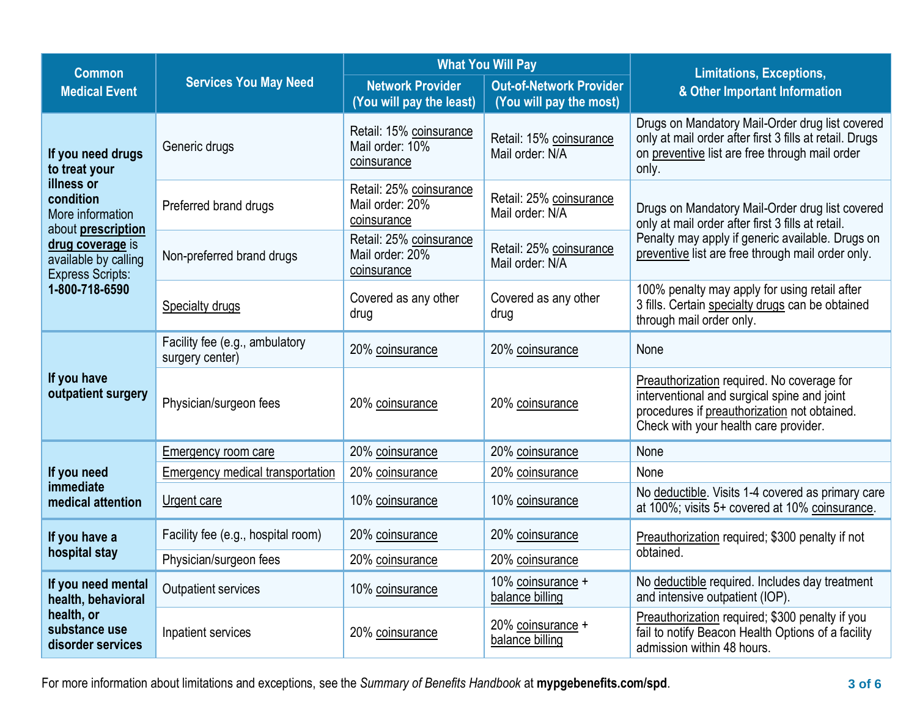| <b>Common</b>                                                                                |                                                   |                                                           | <b>What You Will Pay</b>                                  | <b>Limitations, Exceptions,</b>                                                                                                                                                                               |  |
|----------------------------------------------------------------------------------------------|---------------------------------------------------|-----------------------------------------------------------|-----------------------------------------------------------|---------------------------------------------------------------------------------------------------------------------------------------------------------------------------------------------------------------|--|
| <b>Medical Event</b>                                                                         | <b>Services You May Need</b>                      | <b>Network Provider</b><br>(You will pay the least)       | <b>Out-of-Network Provider</b><br>(You will pay the most) | & Other Important Information                                                                                                                                                                                 |  |
| If you need drugs<br>to treat your<br>illness or<br>condition<br>More information            | Generic drugs                                     | Retail: 15% coinsurance<br>Mail order: 10%<br>coinsurance | Retail: 15% coinsurance<br>Mail order: N/A                | Drugs on Mandatory Mail-Order drug list covered<br>only at mail order after first 3 fills at retail. Drugs<br>on preventive list are free through mail order<br>only.                                         |  |
|                                                                                              | Preferred brand drugs                             | Retail: 25% coinsurance<br>Mail order: 20%<br>coinsurance | Retail: 25% coinsurance<br>Mail order: N/A                | Drugs on Mandatory Mail-Order drug list covered<br>only at mail order after first 3 fills at retail.<br>Penalty may apply if generic available. Drugs on<br>preventive list are free through mail order only. |  |
| about prescription<br>drug coverage is<br>available by calling<br><b>Express Scripts:</b>    | Non-preferred brand drugs                         | Retail: 25% coinsurance<br>Mail order: 20%<br>coinsurance | Retail: 25% coinsurance<br>Mail order: N/A                |                                                                                                                                                                                                               |  |
| 1-800-718-6590                                                                               | Specialty drugs                                   | Covered as any other<br>drug                              | Covered as any other<br>drug                              | 100% penalty may apply for using retail after<br>3 fills. Certain specialty drugs can be obtained<br>through mail order only.                                                                                 |  |
| If you have<br>outpatient surgery                                                            | Facility fee (e.g., ambulatory<br>surgery center) | 20% coinsurance                                           | 20% coinsurance                                           | None                                                                                                                                                                                                          |  |
|                                                                                              | Physician/surgeon fees                            | 20% coinsurance                                           | 20% coinsurance                                           | Preauthorization required. No coverage for<br>interventional and surgical spine and joint<br>procedures if preauthorization not obtained.<br>Check with your health care provider.                            |  |
| If you need<br>immediate<br>medical attention                                                | Emergency room care                               | 20% coinsurance                                           | 20% coinsurance                                           | None                                                                                                                                                                                                          |  |
|                                                                                              | Emergency medical transportation                  | 20% coinsurance                                           | 20% coinsurance                                           | None                                                                                                                                                                                                          |  |
|                                                                                              | Urgent care                                       | 10% coinsurance                                           | 10% coinsurance                                           | No deductible. Visits 1-4 covered as primary care<br>at 100%; visits 5+ covered at 10% coinsurance.                                                                                                           |  |
| If you have a                                                                                | Facility fee (e.g., hospital room)                | 20% coinsurance                                           | 20% coinsurance                                           | Preauthorization required; \$300 penalty if not                                                                                                                                                               |  |
| hospital stay                                                                                | Physician/surgeon fees                            | 20% coinsurance                                           | 20% coinsurance                                           | obtained.                                                                                                                                                                                                     |  |
| If you need mental<br>health, behavioral<br>health, or<br>substance use<br>disorder services | <b>Outpatient services</b>                        | 10% coinsurance                                           | 10% coinsurance +<br>balance billing                      | No deductible required. Includes day treatment<br>and intensive outpatient (IOP).                                                                                                                             |  |
|                                                                                              | Inpatient services                                | 20% coinsurance                                           | 20% coinsurance +<br>balance billing                      | Preauthorization required; \$300 penalty if you<br>fail to notify Beacon Health Options of a facility<br>admission within 48 hours.                                                                           |  |

For more information about limitations and exceptions, see the *Summary of Benefits Handbook* at **mypgebenefits.com/spd**. **3 of 6**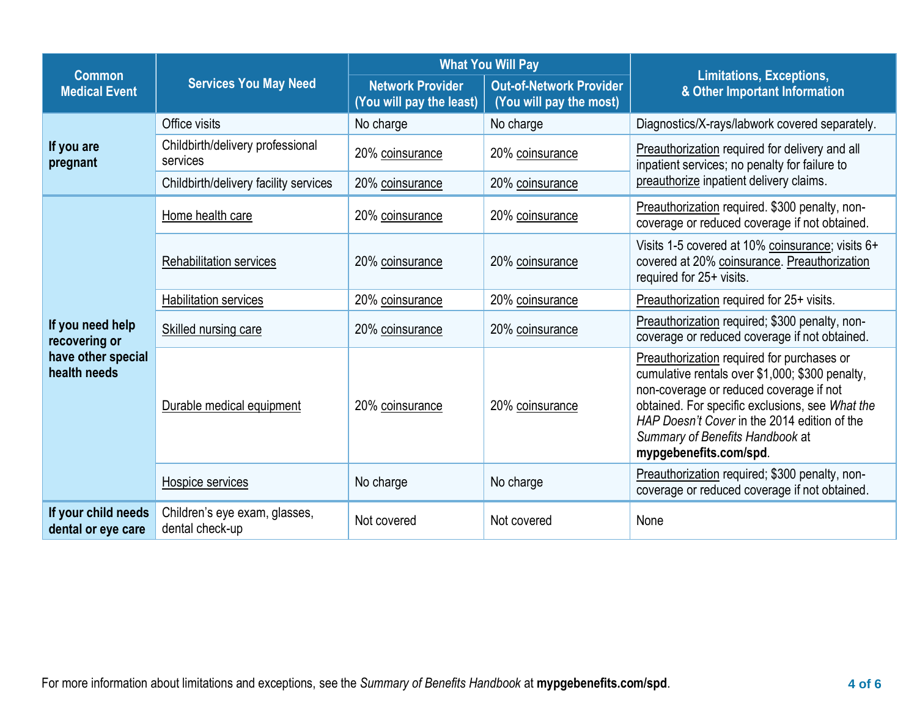| <b>Common</b><br><b>Medical Event</b>                                   | <b>Services You May Need</b>                     |                                                     | <b>What You Will Pay</b>                                  | <b>Limitations, Exceptions,</b><br>& Other Important Information                                                                                                                                                                                                                                         |  |
|-------------------------------------------------------------------------|--------------------------------------------------|-----------------------------------------------------|-----------------------------------------------------------|----------------------------------------------------------------------------------------------------------------------------------------------------------------------------------------------------------------------------------------------------------------------------------------------------------|--|
|                                                                         |                                                  | <b>Network Provider</b><br>(You will pay the least) | <b>Out-of-Network Provider</b><br>(You will pay the most) |                                                                                                                                                                                                                                                                                                          |  |
| If you are<br>pregnant                                                  | Office visits                                    | No charge                                           | No charge                                                 | Diagnostics/X-rays/labwork covered separately.                                                                                                                                                                                                                                                           |  |
|                                                                         | Childbirth/delivery professional<br>services     | 20% coinsurance                                     | 20% coinsurance                                           | Preauthorization required for delivery and all<br>inpatient services; no penalty for failure to                                                                                                                                                                                                          |  |
|                                                                         | Childbirth/delivery facility services            | 20% coinsurance                                     | 20% coinsurance                                           | preauthorize inpatient delivery claims.                                                                                                                                                                                                                                                                  |  |
|                                                                         | Home health care                                 | 20% coinsurance                                     | 20% coinsurance                                           | Preauthorization required. \$300 penalty, non-<br>coverage or reduced coverage if not obtained.                                                                                                                                                                                                          |  |
|                                                                         | <b>Rehabilitation services</b>                   | 20% coinsurance                                     | 20% coinsurance                                           | Visits 1-5 covered at 10% coinsurance; visits 6+<br>covered at 20% coinsurance. Preauthorization<br>required for 25+ visits.                                                                                                                                                                             |  |
|                                                                         | <b>Habilitation services</b>                     | 20% coinsurance                                     | 20% coinsurance                                           | Preauthorization required for 25+ visits.                                                                                                                                                                                                                                                                |  |
| If you need help<br>recovering or<br>have other special<br>health needs | Skilled nursing care                             | 20% coinsurance                                     | 20% coinsurance                                           | Preauthorization required; \$300 penalty, non-<br>coverage or reduced coverage if not obtained.                                                                                                                                                                                                          |  |
|                                                                         | Durable medical equipment                        | 20% coinsurance                                     | 20% coinsurance                                           | Preauthorization required for purchases or<br>cumulative rentals over \$1,000; \$300 penalty,<br>non-coverage or reduced coverage if not<br>obtained. For specific exclusions, see What the<br>HAP Doesn't Cover in the 2014 edition of the<br>Summary of Benefits Handbook at<br>mypgebenefits.com/spd. |  |
|                                                                         | Hospice services                                 | No charge                                           | No charge                                                 | Preauthorization required; \$300 penalty, non-<br>coverage or reduced coverage if not obtained.                                                                                                                                                                                                          |  |
| If your child needs<br>dental or eye care                               | Children's eye exam, glasses,<br>dental check-up | Not covered                                         | Not covered                                               | None                                                                                                                                                                                                                                                                                                     |  |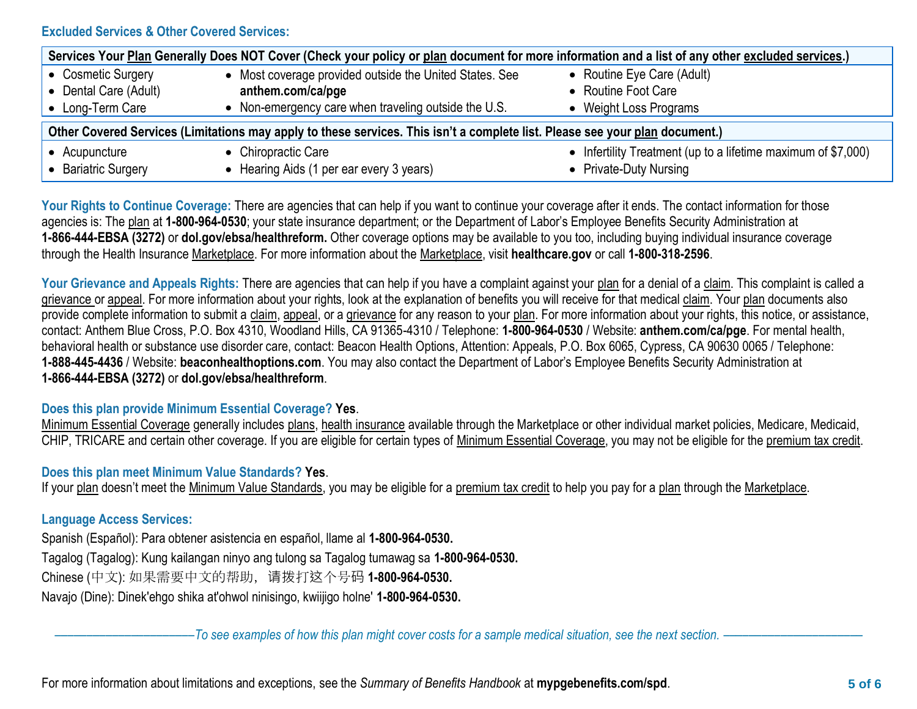# **Excluded Services & Other Covered Services:**

| Services Your Plan Generally Does NOT Cover (Check your policy or plan document for more information and a list of any other excluded services.) |                                                         |                                                               |  |  |  |
|--------------------------------------------------------------------------------------------------------------------------------------------------|---------------------------------------------------------|---------------------------------------------------------------|--|--|--|
| • Cosmetic Surgery                                                                                                                               | • Most coverage provided outside the United States. See | • Routine Eye Care (Adult)                                    |  |  |  |
| • Dental Care (Adult)                                                                                                                            | anthem.com/ca/pge                                       | • Routine Foot Care                                           |  |  |  |
| • Long-Term Care                                                                                                                                 | • Non-emergency care when traveling outside the U.S.    | • Weight Loss Programs                                        |  |  |  |
| Other Covered Services (Limitations may apply to these services. This isn't a complete list. Please see your plan document.)                     |                                                         |                                                               |  |  |  |
| • Acupuncture                                                                                                                                    | • Chiropractic Care                                     | • Infertility Treatment (up to a lifetime maximum of \$7,000) |  |  |  |
| • Bariatric Surgery                                                                                                                              | Hearing Aids (1 per ear every 3 years)                  | • Private-Duty Nursing                                        |  |  |  |

Your Rights to Continue Coverage: There are agencies that can help if you want to continue your coverage after it ends. The contact information for those agencies is: The plan at **1-800-964-0530**; your state insurance department; or the Department of Labor's Employee Benefits Security Administration at **1-866-444-EBSA (3272)** or **[dol.gov/ebsa/healthreform.](http://www.dol.gov/ebsa/healthreform)** Other coverage options may be available to you too, including buying individual insurance coverage through the Health Insurance Marketplace. For more information about the Marketplace, visit **healthcare.gov** or call **1-800-318-2596**.

Your Grievance and Appeals Rights: There are agencies that can help if you have a complaint against your plan for a denial of a claim. This complaint is called a grievance or appeal. For more information about your rights, look at the explanation of benefits you will receive for that medical claim. Your plan documents also provide complete information to submit a claim, appeal, or a grievance for any reason to your plan. For more information about your rights, this notice, or assistance, contact: Anthem Blue Cross, P.O. Box 4310, Woodland Hills, CA 91365-4310 / Telephone: **1-800-964-0530** / Website: **[anthem.com/ca/pge](http://www.anthem.com/ca/pge)**. For mental health, behavioral health or substance use disorder care, contact: Beacon Health Options, Attention: Appeals, P.O. Box 6065, Cypress, CA 90630 0065 / Telephone: **1-888-445-4436** / Website: **beaconhealthoptions.com**. You may also contact the Department of Labor's Employee Benefits Security Administration at **1-866-444-EBSA (3272)** or **[dol.gov/ebsa/healthreform](http://www.dol.gov/ebsa/healthreform)**.

#### **Does this plan provide Minimum Essential Coverage? Yes**.

Minimum Essential Coverage generally includes plans, health insurance available through the Marketplace or other individual market policies, Medicare, Medicaid, CHIP, TRICARE and certain other coverage. If you are eligible for certain types of Minimum Essential Coverage, you may not be eligible for the premium tax credit.

## **Does this plan meet Minimum Value Standards? Yes**.

If your plan doesn't meet the Minimum Value Standards, you may be eligible for a premium tax credit to help you pay for a plan through the Marketplace.

# **Language Access Services:**

Spanish (Español): Para obtener asistencia en español, llame al **1-800-964-0530.**

Tagalog (Tagalog): Kung kailangan ninyo ang tulong sa Tagalog tumawag sa **1-800-964-0530.**

Chinese (中文): 如果需要中文的帮助,请拨打这个号码 **1-800-964-0530.**

Navajo (Dine): Dinek'ehgo shika at'ohwol ninisingo, kwiijigo holne' **1-800-964-0530.**

––––––––––––––––––––––*To see examples of how this plan might cover costs for a sample medical situation, see the next section.* ––––––––––––––––––––––

For more information about limitations and exceptions, see the *Summary of Benefits Handbook* at **mypgebenefits.com/spd**. **5 of 6**